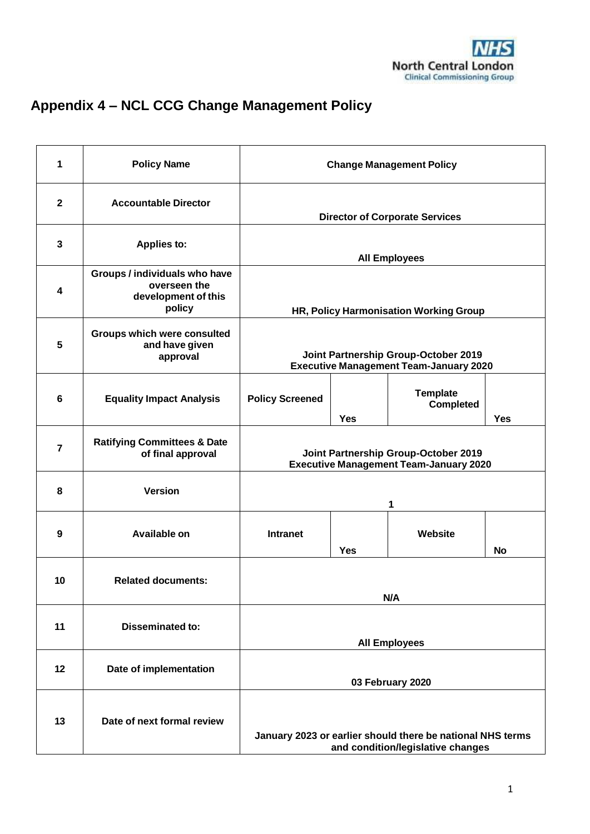# **Appendix 4 – NCL CCG Change Management Policy**

| 1                       | <b>Policy Name</b>                                                             | <b>Change Management Policy</b>                                                                 |            |                                     |            |
|-------------------------|--------------------------------------------------------------------------------|-------------------------------------------------------------------------------------------------|------------|-------------------------------------|------------|
| $\mathbf{2}$            | <b>Accountable Director</b>                                                    | <b>Director of Corporate Services</b>                                                           |            |                                     |            |
| $\mathbf{3}$            | Applies to:                                                                    | <b>All Employees</b>                                                                            |            |                                     |            |
| $\overline{\mathbf{4}}$ | Groups / individuals who have<br>overseen the<br>development of this<br>policy | HR, Policy Harmonisation Working Group                                                          |            |                                     |            |
| 5                       | <b>Groups which were consulted</b><br>and have given<br>approval               | Joint Partnership Group-October 2019<br><b>Executive Management Team-January 2020</b>           |            |                                     |            |
| $6\phantom{1}6$         | <b>Equality Impact Analysis</b>                                                | <b>Policy Screened</b>                                                                          | <b>Yes</b> | <b>Template</b><br><b>Completed</b> | <b>Yes</b> |
| $\overline{7}$          | <b>Ratifying Committees &amp; Date</b><br>of final approval                    | Joint Partnership Group-October 2019<br><b>Executive Management Team-January 2020</b>           |            |                                     |            |
| 8                       | <b>Version</b>                                                                 | 1                                                                                               |            |                                     |            |
| 9                       | Available on                                                                   | <b>Intranet</b>                                                                                 | <b>Yes</b> | Website                             | No         |
| 10                      | <b>Related documents:</b>                                                      | N/A                                                                                             |            |                                     |            |
| 11                      | <b>Disseminated to:</b>                                                        | <b>All Employees</b>                                                                            |            |                                     |            |
| 12                      | Date of implementation                                                         | 03 February 2020                                                                                |            |                                     |            |
| 13                      | Date of next formal review                                                     | January 2023 or earlier should there be national NHS terms<br>and condition/legislative changes |            |                                     |            |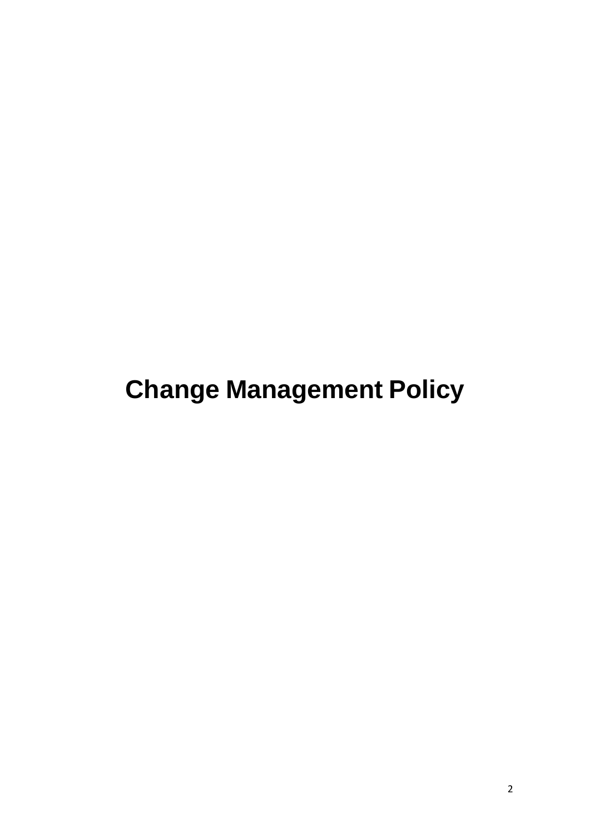# **Change Management Policy**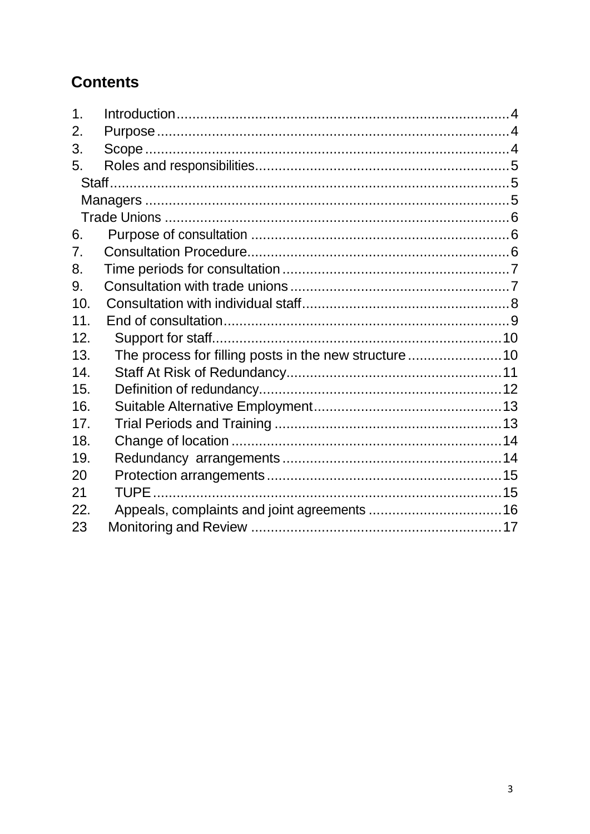# **Contents**

| 1 <sub>1</sub>  |                                                       |  |
|-----------------|-------------------------------------------------------|--|
| 2.              |                                                       |  |
| 3.              |                                                       |  |
| 5.              |                                                       |  |
|                 |                                                       |  |
|                 |                                                       |  |
|                 |                                                       |  |
| 6.              |                                                       |  |
| 7.              |                                                       |  |
| 8.              |                                                       |  |
| 9.              |                                                       |  |
| 10 <sub>1</sub> |                                                       |  |
| 11.             |                                                       |  |
| 12.             |                                                       |  |
| 13.             | The process for filling posts in the new structure 10 |  |
| 14.             |                                                       |  |
| 15.             |                                                       |  |
| 16.             |                                                       |  |
| 17.             |                                                       |  |
| 18.             |                                                       |  |
| 19.             |                                                       |  |
| 20              |                                                       |  |
| 21              |                                                       |  |
| 22.             |                                                       |  |
| 23              |                                                       |  |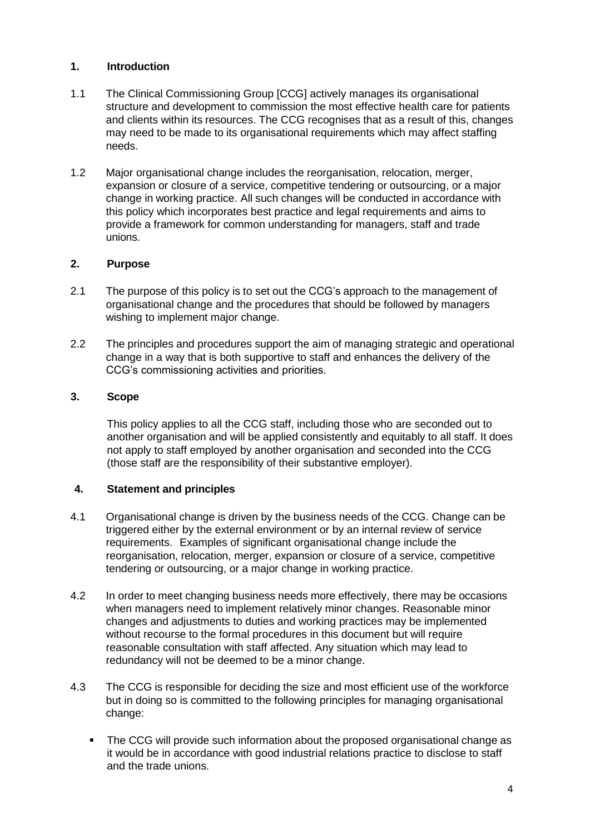# <span id="page-3-0"></span>**1. Introduction**

- 1.1 The Clinical Commissioning Group [CCG] actively manages its organisational structure and development to commission the most effective health care for patients and clients within its resources. The CCG recognises that as a result of this, changes may need to be made to its organisational requirements which may affect staffing needs.
- 1.2 Major organisational change includes the reorganisation, relocation, merger, expansion or closure of a service, competitive tendering or outsourcing, or a major change in working practice. All such changes will be conducted in accordance with this policy which incorporates best practice and legal requirements and aims to provide a framework for common understanding for managers, staff and trade unions.

# <span id="page-3-1"></span>**2. Purpose**

- 2.1 The purpose of this policy is to set out the CCG's approach to the management of organisational change and the procedures that should be followed by managers wishing to implement major change.
- 2.2 The principles and procedures support the aim of managing strategic and operational change in a way that is both supportive to staff and enhances the delivery of the CCG's commissioning activities and priorities.

# <span id="page-3-2"></span>**3. Scope**

This policy applies to all the CCG staff, including those who are seconded out to another organisation and will be applied consistently and equitably to all staff. It does not apply to staff employed by another organisation and seconded into the CCG (those staff are the responsibility of their substantive employer).

### **4. Statement and principles**

- 4.1 Organisational change is driven by the business needs of the CCG. Change can be triggered either by the external environment or by an internal review of service requirements. Examples of significant organisational change include the reorganisation, relocation, merger, expansion or closure of a service, competitive tendering or outsourcing, or a major change in working practice.
- 4.2 In order to meet changing business needs more effectively, there may be occasions when managers need to implement relatively minor changes. Reasonable minor changes and adjustments to duties and working practices may be implemented without recourse to the formal procedures in this document but will require reasonable consultation with staff affected. Any situation which may lead to redundancy will not be deemed to be a minor change.
- 4.3 The CCG is responsible for deciding the size and most efficient use of the workforce but in doing so is committed to the following principles for managing organisational change:
	- **The CCG will provide such information about the proposed organisational change as** it would be in accordance with good industrial relations practice to disclose to staff and the trade unions.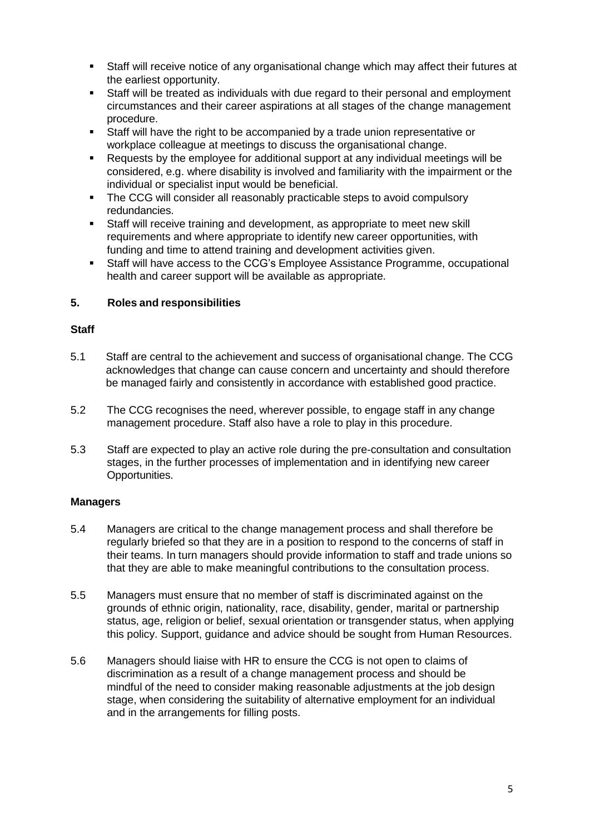- Staff will receive notice of any organisational change which may affect their futures at the earliest opportunity.
- Staff will be treated as individuals with due regard to their personal and employment circumstances and their career aspirations at all stages of the change management procedure.
- Staff will have the right to be accompanied by a trade union representative or workplace colleague at meetings to discuss the organisational change.
- Requests by the employee for additional support at any individual meetings will be considered, e.g. where disability is involved and familiarity with the impairment or the individual or specialist input would be beneficial.
- The CCG will consider all reasonably practicable steps to avoid compulsory redundancies.
- Staff will receive training and development, as appropriate to meet new skill requirements and where appropriate to identify new career opportunities, with funding and time to attend training and development activities given.
- Staff will have access to the CCG's Employee Assistance Programme, occupational health and career support will be available as appropriate.

# <span id="page-4-0"></span>**5. Roles and responsibilities**

### <span id="page-4-1"></span>**Staff**

- 5.1 Staff are central to the achievement and success of organisational change. The CCG acknowledges that change can cause concern and uncertainty and should therefore be managed fairly and consistently in accordance with established good practice.
- 5.2 The CCG recognises the need, wherever possible, to engage staff in any change management procedure. Staff also have a role to play in this procedure.
- 5.3 Staff are expected to play an active role during the pre-consultation and consultation stages, in the further processes of implementation and in identifying new career Opportunities.

### <span id="page-4-2"></span>**Managers**

- 5.4 Managers are critical to the change management process and shall therefore be regularly briefed so that they are in a position to respond to the concerns of staff in their teams. In turn managers should provide information to staff and trade unions so that they are able to make meaningful contributions to the consultation process.
- 5.5 Managers must ensure that no member of staff is discriminated against on the grounds of ethnic origin, nationality, race, disability, gender, marital or partnership status, age, religion or belief, sexual orientation or transgender status, when applying this policy. Support, guidance and advice should be sought from Human Resources.
- 5.6 Managers should liaise with HR to ensure the CCG is not open to claims of discrimination as a result of a change management process and should be mindful of the need to consider making reasonable adjustments at the job design stage, when considering the suitability of alternative employment for an individual and in the arrangements for filling posts.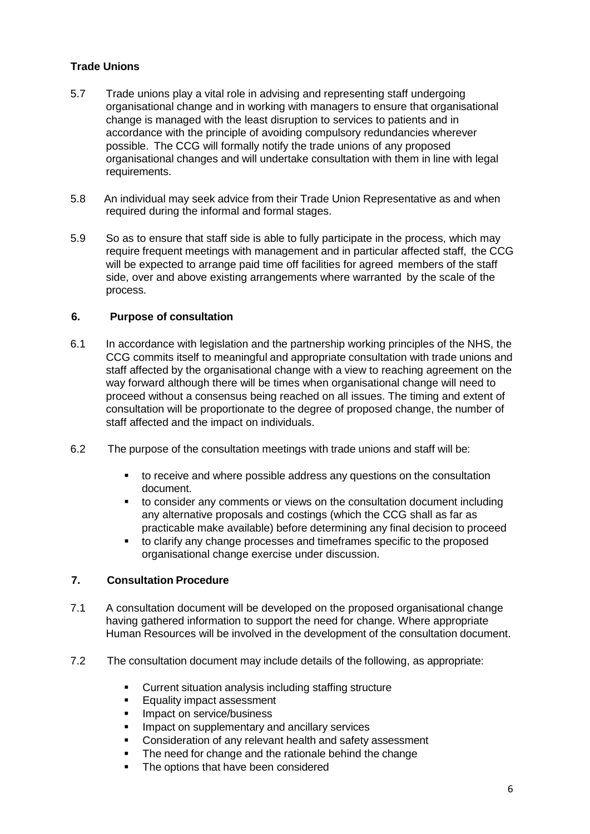# <span id="page-5-0"></span>**Trade Unions**

- 5.7 Trade unions play a vital role in advising and representing staff undergoing organisational change and in working with managers to ensure that organisational change is managed with the least disruption to services to patients and in accordance with the principle of avoiding compulsory redundancies wherever possible. The CCG will formally notify the trade unions of any proposed organisational changes and will undertake consultation with them in line with legal requirements.
- 5.8 An individual may seek advice from their Trade Union Representative as and when required during the informal and formal stages.
- 5.9 So as to ensure that staff side is able to fully participate in the process, which may require frequent meetings with management and in particular affected staff, the CCG will be expected to arrange paid time off facilities for agreed members of the staff side, over and above existing arrangements where warranted by the scale of the process.

### <span id="page-5-1"></span>**6. Purpose of consultation**

- 6.1 In accordance with legislation and the partnership working principles of the NHS, the CCG commits itself to meaningful and appropriate consultation with trade unions and staff affected by the organisational change with a view to reaching agreement on the way forward although there will be times when organisational change will need to proceed without a consensus being reached on all issues. The timing and extent of consultation will be proportionate to the degree of proposed change, the number of staff affected and the impact on individuals.
- 6.2 The purpose of the consultation meetings with trade unions and staff will be:
	- to receive and where possible address any questions on the consultation document.
	- to consider any comments or views on the consultation document including any alternative proposals and costings (which the CCG shall as far as practicable make available) before determining any final decision to proceed
	- to clarify any change processes and timeframes specific to the proposed organisational change exercise under discussion.

### <span id="page-5-2"></span>**7. Consultation Procedure**

- 7.1 A consultation document will be developed on the proposed organisational change having gathered information to support the need for change. Where appropriate Human Resources will be involved in the development of the consultation document.
- 7.2 The consultation document may include details of the following, as appropriate:
	- Current situation analysis including staffing structure
	- **Equality impact assessment**
	- **Impact on service/business**
	- **IMPACT ON SUPPLEMENTARY AND ANCILLARY SERVICES**
	- **Consideration of any relevant health and safety assessment**
	- The need for change and the rationale behind the change
	- The options that have been considered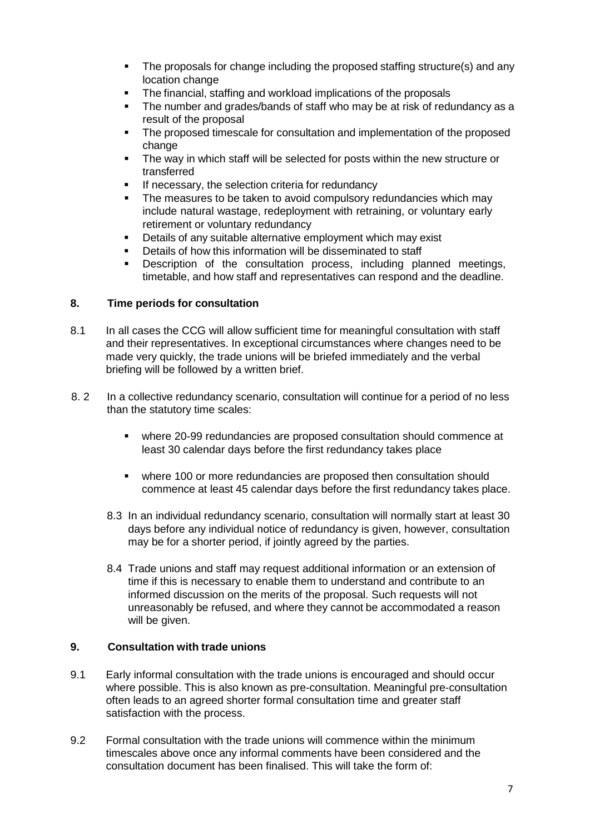- The proposals for change including the proposed staffing structure(s) and any location change
- The financial, staffing and workload implications of the proposals
- The number and grades/bands of staff who may be at risk of redundancy as a result of the proposal
- The proposed timescale for consultation and implementation of the proposed change
- The way in which staff will be selected for posts within the new structure or transferred
- If necessary, the selection criteria for redundancy
- The measures to be taken to avoid compulsory redundancies which may include natural wastage, redeployment with retraining, or voluntary early retirement or voluntary redundancy
- Details of any suitable alternative employment which may exist
- Details of how this information will be disseminated to staff
- Description of the consultation process, including planned meetings, timetable, and how staff and representatives can respond and the deadline.

# <span id="page-6-0"></span>**8. Time periods for consultation**

- 8.1 In all cases the CCG will allow sufficient time for meaningful consultation with staff and their representatives. In exceptional circumstances where changes need to be made very quickly, the trade unions will be briefed immediately and the verbal briefing will be followed by a written brief.
- 8. 2 In a collective redundancy scenario, consultation will continue for a period of no less than the statutory time scales:
	- where 20-99 redundancies are proposed consultation should commence at least 30 calendar days before the first redundancy takes place
	- where 100 or more redundancies are proposed then consultation should commence at least 45 calendar days before the first redundancy takes place.
	- 8.3 In an individual redundancy scenario, consultation will normally start at least 30 days before any individual notice of redundancy is given, however, consultation may be for a shorter period, if jointly agreed by the parties.
	- 8.4 Trade unions and staff may request additional information or an extension of time if this is necessary to enable them to understand and contribute to an informed discussion on the merits of the proposal. Such requests will not unreasonably be refused, and where they cannot be accommodated a reason will be given.

# <span id="page-6-1"></span>**9. Consultation with trade unions**

- 9.1 Early informal consultation with the trade unions is encouraged and should occur where possible. This is also known as pre-consultation. Meaningful pre-consultation often leads to an agreed shorter formal consultation time and greater staff satisfaction with the process.
- 9.2 Formal consultation with the trade unions will commence within the minimum timescales above once any informal comments have been considered and the consultation document has been finalised. This will take the form of: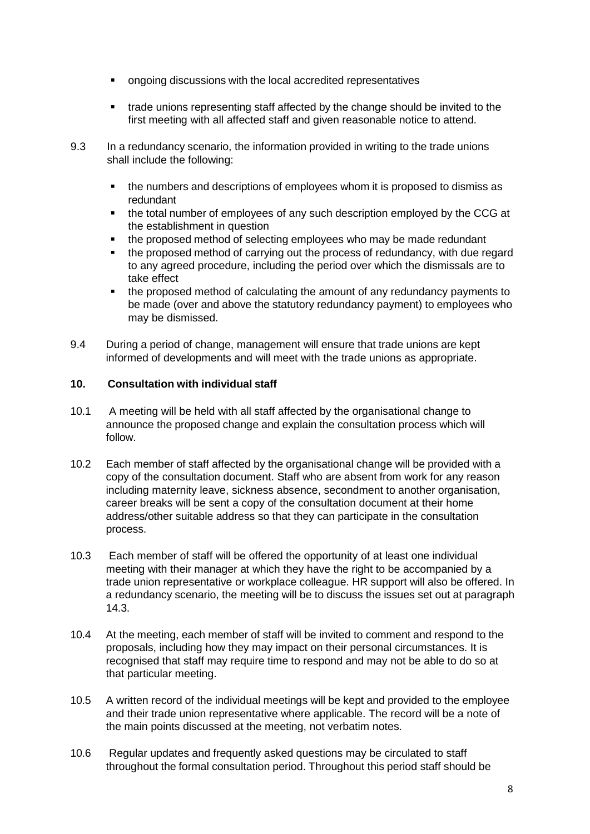- ongoing discussions with the local accredited representatives
- trade unions representing staff affected by the change should be invited to the first meeting with all affected staff and given reasonable notice to attend.
- 9.3 In a redundancy scenario, the information provided in writing to the trade unions shall include the following:
	- the numbers and descriptions of employees whom it is proposed to dismiss as redundant
	- the total number of employees of any such description employed by the CCG at the establishment in question
	- the proposed method of selecting employees who may be made redundant
	- the proposed method of carrying out the process of redundancy, with due regard to any agreed procedure, including the period over which the dismissals are to take effect
	- the proposed method of calculating the amount of any redundancy payments to be made (over and above the statutory redundancy payment) to employees who may be dismissed.
- 9.4 During a period of change, management will ensure that trade unions are kept informed of developments and will meet with the trade unions as appropriate.

### <span id="page-7-0"></span>**10. Consultation with individual staff**

- 10.1 A meeting will be held with all staff affected by the organisational change to announce the proposed change and explain the consultation process which will follow.
- 10.2 Each member of staff affected by the organisational change will be provided with a copy of the consultation document. Staff who are absent from work for any reason including maternity leave, sickness absence, secondment to another organisation, career breaks will be sent a copy of the consultation document at their home address/other suitable address so that they can participate in the consultation process.
- 10.3 Each member of staff will be offered the opportunity of at least one individual meeting with their manager at which they have the right to be accompanied by a trade union representative or workplace colleague. HR support will also be offered. In a redundancy scenario, the meeting will be to discuss the issues set out at paragraph 14.3.
- 10.4 At the meeting, each member of staff will be invited to comment and respond to the proposals, including how they may impact on their personal circumstances. It is recognised that staff may require time to respond and may not be able to do so at that particular meeting.
- 10.5 A written record of the individual meetings will be kept and provided to the employee and their trade union representative where applicable. The record will be a note of the main points discussed at the meeting, not verbatim notes.
- 10.6 Regular updates and frequently asked questions may be circulated to staff throughout the formal consultation period. Throughout this period staff should be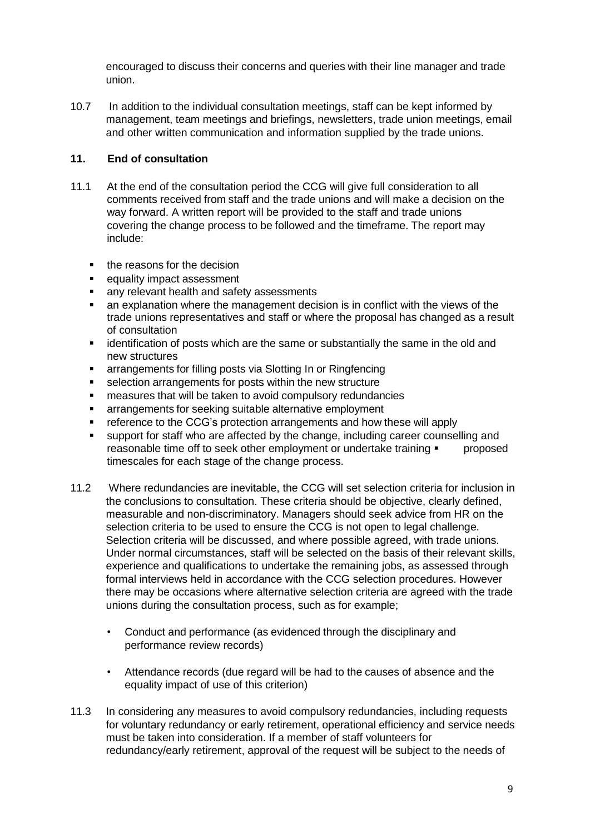encouraged to discuss their concerns and queries with their line manager and trade union.

10.7 In addition to the individual consultation meetings, staff can be kept informed by management, team meetings and briefings, newsletters, trade union meetings, email and other written communication and information supplied by the trade unions.

# <span id="page-8-0"></span>**11. End of consultation**

- 11.1 At the end of the consultation period the CCG will give full consideration to all comments received from staff and the trade unions and will make a decision on the way forward. A written report will be provided to the staff and trade unions covering the change process to be followed and the timeframe. The report may include:
	- the reasons for the decision
	- equality impact assessment
	- **EXECT** any relevant health and safety assessments
	- an explanation where the management decision is in conflict with the views of the trade unions representatives and staff or where the proposal has changed as a result of consultation
	- **EXED identification of posts which are the same or substantially the same in the old and** new structures
	- arrangements for filling posts via Slotting In or Ringfencing
	- **selection arrangements for posts within the new structure**
	- measures that will be taken to avoid compulsory redundancies
	- **EXECT** arrangements for seeking suitable alternative employment
	- **F** reference to the CCG's protection arrangements and how these will apply
	- support for staff who are affected by the change, including career counselling and reasonable time off to seek other employment or undertake training  $\blacksquare$  proposed timescales for each stage of the change process.
- 11.2 Where redundancies are inevitable, the CCG will set selection criteria for inclusion in the conclusions to consultation. These criteria should be objective, clearly defined, measurable and non-discriminatory. Managers should seek advice from HR on the selection criteria to be used to ensure the CCG is not open to legal challenge. Selection criteria will be discussed, and where possible agreed, with trade unions. Under normal circumstances, staff will be selected on the basis of their relevant skills, experience and qualifications to undertake the remaining jobs, as assessed through formal interviews held in accordance with the CCG selection procedures. However there may be occasions where alternative selection criteria are agreed with the trade unions during the consultation process, such as for example;
	- Conduct and performance (as evidenced through the disciplinary and performance review records)
	- Attendance records (due regard will be had to the causes of absence and the equality impact of use of this criterion)
- 11.3 In considering any measures to avoid compulsory redundancies, including requests for voluntary redundancy or early retirement, operational efficiency and service needs must be taken into consideration. If a member of staff volunteers for redundancy/early retirement, approval of the request will be subject to the needs of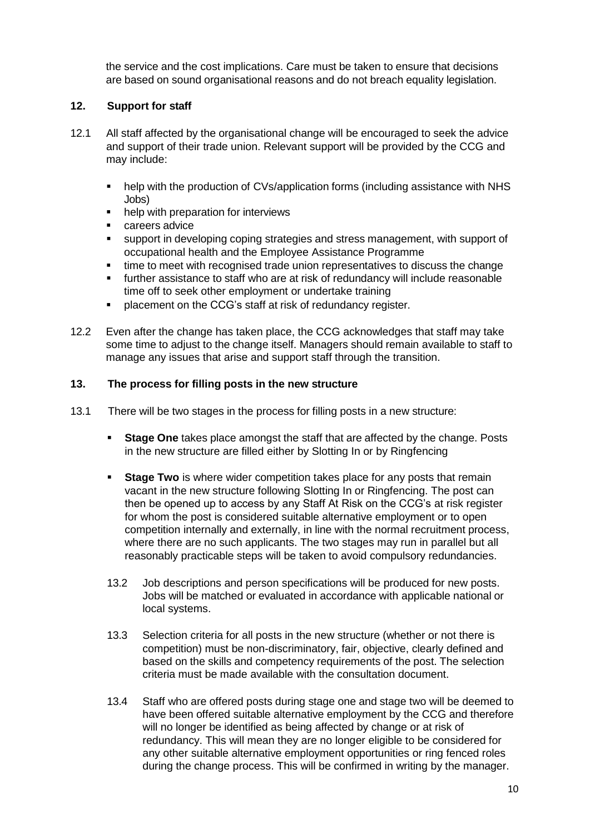the service and the cost implications. Care must be taken to ensure that decisions are based on sound organisational reasons and do not breach equality legislation.

# <span id="page-9-0"></span>**12. Support for staff**

- 12.1 All staff affected by the organisational change will be encouraged to seek the advice and support of their trade union. Relevant support will be provided by the CCG and may include:
	- help with the production of CVs/application forms (including assistance with NHS Jobs)
	- help with preparation for interviews
	- careers advice
	- support in developing coping strategies and stress management, with support of occupational health and the Employee Assistance Programme
	- time to meet with recognised trade union representatives to discuss the change
	- further assistance to staff who are at risk of redundancy will include reasonable time off to seek other employment or undertake training
	- **PEDIACEMENT IS NOTE 2018 THE COG's staff at risk of redundancy register.**
- 12.2 Even after the change has taken place, the CCG acknowledges that staff may take some time to adjust to the change itself. Managers should remain available to staff to manage any issues that arise and support staff through the transition.

### <span id="page-9-1"></span>**13. The process for filling posts in the new structure**

- 13.1 There will be two stages in the process for filling posts in a new structure:
	- **Stage One** takes place amongst the staff that are affected by the change. Posts in the new structure are filled either by Slotting In or by Ringfencing
	- **Stage Two** is where wider competition takes place for any posts that remain vacant in the new structure following Slotting In or Ringfencing. The post can then be opened up to access by any Staff At Risk on the CCG's at risk register for whom the post is considered suitable alternative employment or to open competition internally and externally, in line with the normal recruitment process, where there are no such applicants. The two stages may run in parallel but all reasonably practicable steps will be taken to avoid compulsory redundancies.
	- 13.2 Job descriptions and person specifications will be produced for new posts. Jobs will be matched or evaluated in accordance with applicable national or local systems.
	- 13.3 Selection criteria for all posts in the new structure (whether or not there is competition) must be non-discriminatory, fair, objective, clearly defined and based on the skills and competency requirements of the post. The selection criteria must be made available with the consultation document.
	- 13.4 Staff who are offered posts during stage one and stage two will be deemed to have been offered suitable alternative employment by the CCG and therefore will no longer be identified as being affected by change or at risk of redundancy. This will mean they are no longer eligible to be considered for any other suitable alternative employment opportunities or ring fenced roles during the change process. This will be confirmed in writing by the manager.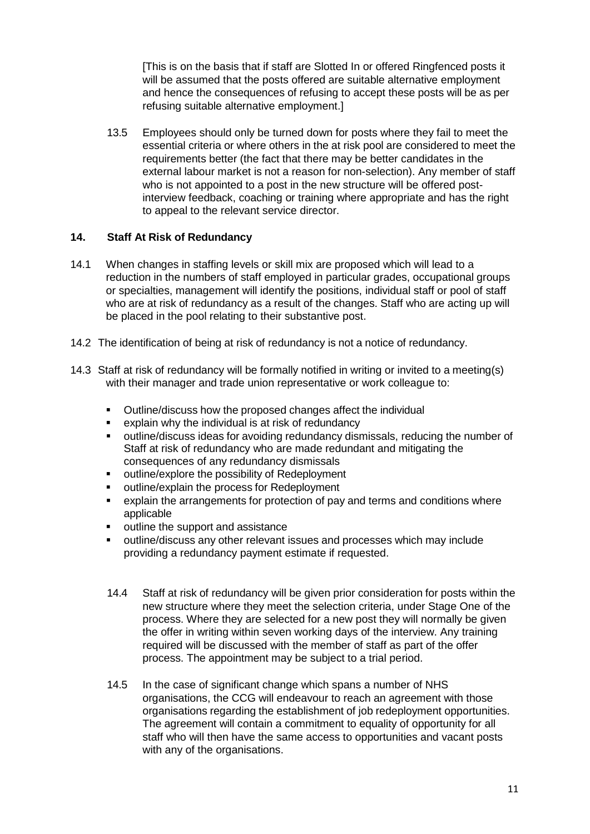[This is on the basis that if staff are Slotted In or offered Ringfenced posts it will be assumed that the posts offered are suitable alternative employment and hence the consequences of refusing to accept these posts will be as per refusing suitable alternative employment.]

13.5 Employees should only be turned down for posts where they fail to meet the essential criteria or where others in the at risk pool are considered to meet the requirements better (the fact that there may be better candidates in the external labour market is not a reason for non-selection). Any member of staff who is not appointed to a post in the new structure will be offered postinterview feedback, coaching or training where appropriate and has the right to appeal to the relevant service director.

# <span id="page-10-0"></span>**14. Staff At Risk of Redundancy**

- 14.1 When changes in staffing levels or skill mix are proposed which will lead to a reduction in the numbers of staff employed in particular grades, occupational groups or specialties, management will identify the positions, individual staff or pool of staff who are at risk of redundancy as a result of the changes. Staff who are acting up will be placed in the pool relating to their substantive post.
- 14.2 The identification of being at risk of redundancy is not a notice of redundancy.
- 14.3 Staff at risk of redundancy will be formally notified in writing or invited to a meeting(s) with their manager and trade union representative or work colleague to:
	- Outline/discuss how the proposed changes affect the individual
	- explain why the individual is at risk of redundancy
	- outline/discuss ideas for avoiding redundancy dismissals, reducing the number of Staff at risk of redundancy who are made redundant and mitigating the consequences of any redundancy dismissals
	- **•** outline/explore the possibility of Redeployment
	- outline/explain the process for Redeployment
	- explain the arrangements for protection of pay and terms and conditions where applicable
	- **•** outline the support and assistance
	- outline/discuss any other relevant issues and processes which may include providing a redundancy payment estimate if requested.
	- 14.4 Staff at risk of redundancy will be given prior consideration for posts within the new structure where they meet the selection criteria, under Stage One of the process. Where they are selected for a new post they will normally be given the offer in writing within seven working days of the interview. Any training required will be discussed with the member of staff as part of the offer process. The appointment may be subject to a trial period.
	- 14.5 In the case of significant change which spans a number of NHS organisations, the CCG will endeavour to reach an agreement with those organisations regarding the establishment of job redeployment opportunities. The agreement will contain a commitment to equality of opportunity for all staff who will then have the same access to opportunities and vacant posts with any of the organisations.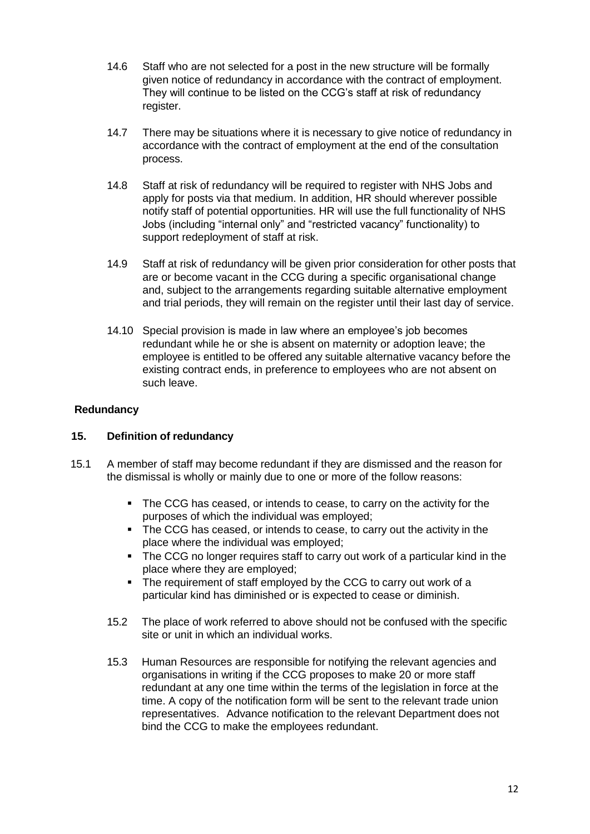- 14.6 Staff who are not selected for a post in the new structure will be formally given notice of redundancy in accordance with the contract of employment. They will continue to be listed on the CCG's staff at risk of redundancy register.
- 14.7 There may be situations where it is necessary to give notice of redundancy in accordance with the contract of employment at the end of the consultation process.
- 14.8 Staff at risk of redundancy will be required to register with NHS Jobs and apply for posts via that medium. In addition, HR should wherever possible notify staff of potential opportunities. HR will use the full functionality of NHS Jobs (including "internal only" and "restricted vacancy" functionality) to support redeployment of staff at risk.
- 14.9 Staff at risk of redundancy will be given prior consideration for other posts that are or become vacant in the CCG during a specific organisational change and, subject to the arrangements regarding suitable alternative employment and trial periods, they will remain on the register until their last day of service.
- 14.10 Special provision is made in law where an employee's job becomes redundant while he or she is absent on maternity or adoption leave; the employee is entitled to be offered any suitable alternative vacancy before the existing contract ends, in preference to employees who are not absent on such leave.

# **Redundancy**

### <span id="page-11-0"></span>**15. Definition of redundancy**

- 15.1 A member of staff may become redundant if they are dismissed and the reason for the dismissal is wholly or mainly due to one or more of the follow reasons:
	- The CCG has ceased, or intends to cease, to carry on the activity for the purposes of which the individual was employed;
	- The CCG has ceased, or intends to cease, to carry out the activity in the place where the individual was employed;
	- The CCG no longer requires staff to carry out work of a particular kind in the place where they are employed;
	- The requirement of staff employed by the CCG to carry out work of a particular kind has diminished or is expected to cease or diminish.
	- 15.2 The place of work referred to above should not be confused with the specific site or unit in which an individual works.
	- 15.3 Human Resources are responsible for notifying the relevant agencies and organisations in writing if the CCG proposes to make 20 or more staff redundant at any one time within the terms of the legislation in force at the time. A copy of the notification form will be sent to the relevant trade union representatives. Advance notification to the relevant Department does not bind the CCG to make the employees redundant.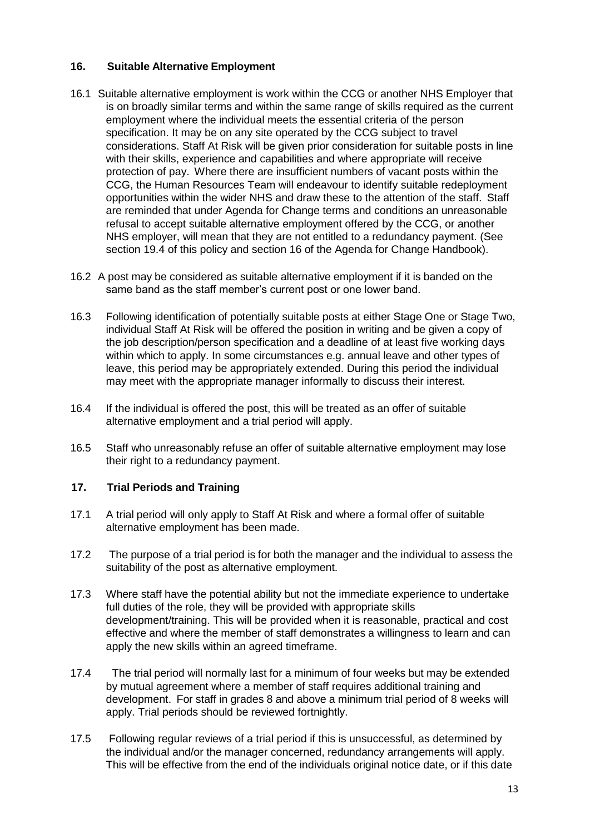# <span id="page-12-0"></span>**16. Suitable Alternative Employment**

- 16.1 Suitable alternative employment is work within the CCG or another NHS Employer that is on broadly similar terms and within the same range of skills required as the current employment where the individual meets the essential criteria of the person specification. It may be on any site operated by the CCG subject to travel considerations. Staff At Risk will be given prior consideration for suitable posts in line with their skills, experience and capabilities and where appropriate will receive protection of pay. Where there are insufficient numbers of vacant posts within the CCG, the Human Resources Team will endeavour to identify suitable redeployment opportunities within the wider NHS and draw these to the attention of the staff. Staff are reminded that under Agenda for Change terms and conditions an unreasonable refusal to accept suitable alternative employment offered by the CCG, or another NHS employer, will mean that they are not entitled to a redundancy payment. (See section 19.4 of this policy and section 16 of the Agenda for Change Handbook).
- 16.2 A post may be considered as suitable alternative employment if it is banded on the same band as the staff member's current post or one lower band.
- 16.3 Following identification of potentially suitable posts at either Stage One or Stage Two, individual Staff At Risk will be offered the position in writing and be given a copy of the job description/person specification and a deadline of at least five working days within which to apply. In some circumstances e.g. annual leave and other types of leave, this period may be appropriately extended. During this period the individual may meet with the appropriate manager informally to discuss their interest.
- 16.4 If the individual is offered the post, this will be treated as an offer of suitable alternative employment and a trial period will apply.
- 16.5 Staff who unreasonably refuse an offer of suitable alternative employment may lose their right to a redundancy payment.

### <span id="page-12-1"></span>**17. Trial Periods and Training**

- 17.1 A trial period will only apply to Staff At Risk and where a formal offer of suitable alternative employment has been made.
- 17.2 The purpose of a trial period is for both the manager and the individual to assess the suitability of the post as alternative employment.
- 17.3 Where staff have the potential ability but not the immediate experience to undertake full duties of the role, they will be provided with appropriate skills development/training. This will be provided when it is reasonable, practical and cost effective and where the member of staff demonstrates a willingness to learn and can apply the new skills within an agreed timeframe.
- 17.4 The trial period will normally last for a minimum of four weeks but may be extended by mutual agreement where a member of staff requires additional training and development. For staff in grades 8 and above a minimum trial period of 8 weeks will apply. Trial periods should be reviewed fortnightly.
- 17.5 Following regular reviews of a trial period if this is unsuccessful, as determined by the individual and/or the manager concerned, redundancy arrangements will apply. This will be effective from the end of the individuals original notice date, or if this date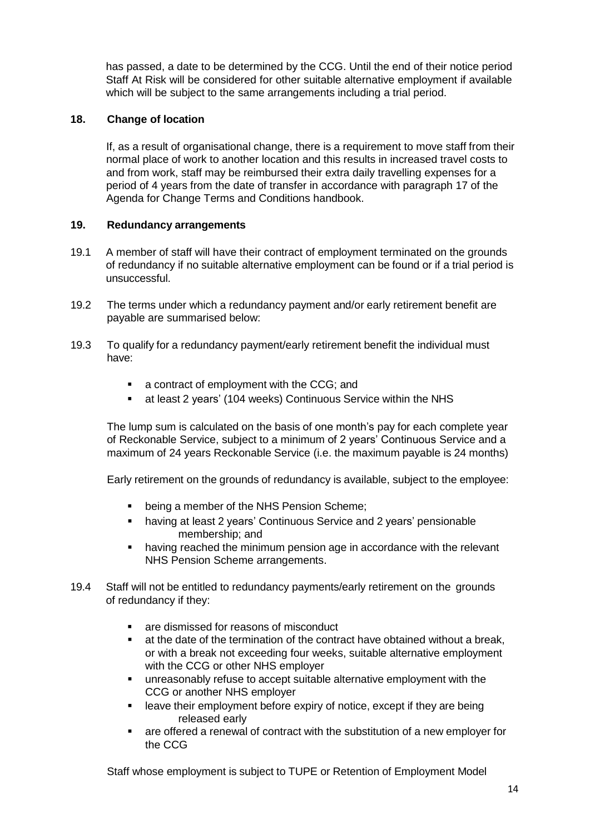has passed, a date to be determined by the CCG. Until the end of their notice period Staff At Risk will be considered for other suitable alternative employment if available which will be subject to the same arrangements including a trial period.

# <span id="page-13-0"></span>**18. Change of location**

If, as a result of organisational change, there is a requirement to move staff from their normal place of work to another location and this results in increased travel costs to and from work, staff may be reimbursed their extra daily travelling expenses for a period of 4 years from the date of transfer in accordance with paragraph 17 of the Agenda for Change Terms and Conditions handbook.

### <span id="page-13-1"></span>**19. Redundancy arrangements**

- 19.1 A member of staff will have their contract of employment terminated on the grounds of redundancy if no suitable alternative employment can be found or if a trial period is unsuccessful.
- 19.2 The terms under which a redundancy payment and/or early retirement benefit are payable are summarised below:
- 19.3 To qualify for a redundancy payment/early retirement benefit the individual must have:
	- a contract of employment with the CCG; and
	- at least 2 years' (104 weeks) Continuous Service within the NHS

The lump sum is calculated on the basis of one month's pay for each complete year of Reckonable Service, subject to a minimum of 2 years' Continuous Service and a maximum of 24 years Reckonable Service (i.e. the maximum payable is 24 months)

Early retirement on the grounds of redundancy is available, subject to the employee:

- being a member of the NHS Pension Scheme;
- **•** having at least 2 years' Continuous Service and 2 years' pensionable membership; and
- having reached the minimum pension age in accordance with the relevant NHS Pension Scheme arrangements.
- 19.4 Staff will not be entitled to redundancy payments/early retirement on the grounds of redundancy if they:
	- **are dismissed for reasons of misconduct**
	- at the date of the termination of the contract have obtained without a break, or with a break not exceeding four weeks, suitable alternative employment with the CCG or other NHS employer
	- unreasonably refuse to accept suitable alternative employment with the CCG or another NHS employer
	- leave their employment before expiry of notice, except if they are being released early
	- are offered a renewal of contract with the substitution of a new employer for the CCG

Staff whose employment is subject to TUPE or Retention of Employment Model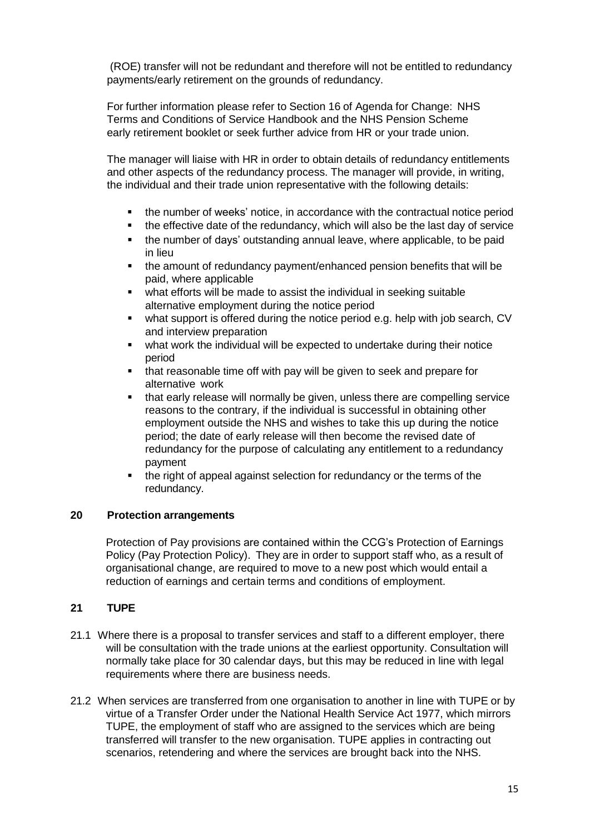(ROE) transfer will not be redundant and therefore will not be entitled to redundancy payments/early retirement on the grounds of redundancy.

For further information please refer to Section 16 of Agenda for Change: NHS Terms and Conditions of Service Handbook and the NHS Pension Scheme early retirement booklet or seek further advice from HR or your trade union.

The manager will liaise with HR in order to obtain details of redundancy entitlements and other aspects of the redundancy process. The manager will provide, in writing, the individual and their trade union representative with the following details:

- the number of weeks' notice, in accordance with the contractual notice period
- the effective date of the redundancy, which will also be the last day of service
- the number of days' outstanding annual leave, where applicable, to be paid in lieu
- the amount of redundancy payment/enhanced pension benefits that will be paid, where applicable
- what efforts will be made to assist the individual in seeking suitable alternative employment during the notice period
- what support is offered during the notice period e.g. help with job search, CV and interview preparation
- what work the individual will be expected to undertake during their notice period
- that reasonable time off with pay will be given to seek and prepare for alternative work
- that early release will normally be given, unless there are compelling service reasons to the contrary, if the individual is successful in obtaining other employment outside the NHS and wishes to take this up during the notice period; the date of early release will then become the revised date of redundancy for the purpose of calculating any entitlement to a redundancy payment
- the right of appeal against selection for redundancy or the terms of the redundancy.

### <span id="page-14-0"></span>**20 Protection arrangements**

Protection of Pay provisions are contained within the CCG's Protection of Earnings Policy (Pay Protection Policy). They are in order to support staff who, as a result of organisational change, are required to move to a new post which would entail a reduction of earnings and certain terms and conditions of employment.

# <span id="page-14-1"></span>**21 TUPE**

- 21.1 Where there is a proposal to transfer services and staff to a different employer, there will be consultation with the trade unions at the earliest opportunity. Consultation will normally take place for 30 calendar days, but this may be reduced in line with legal requirements where there are business needs.
- 21.2 When services are transferred from one organisation to another in line with TUPE or by virtue of a Transfer Order under the National Health Service Act 1977, which mirrors TUPE, the employment of staff who are assigned to the services which are being transferred will transfer to the new organisation. TUPE applies in contracting out scenarios, retendering and where the services are brought back into the NHS.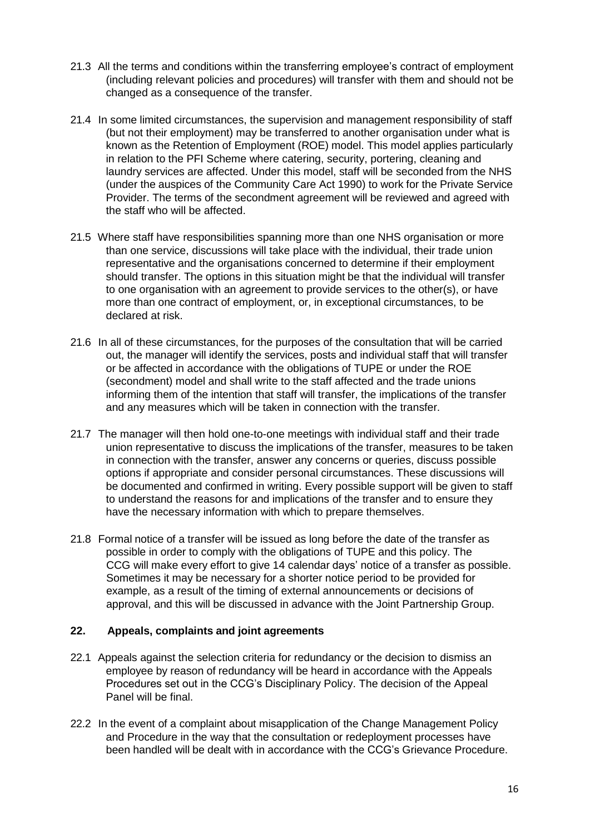- 21.3 All the terms and conditions within the transferring employee's contract of employment (including relevant policies and procedures) will transfer with them and should not be changed as a consequence of the transfer.
- 21.4 In some limited circumstances, the supervision and management responsibility of staff (but not their employment) may be transferred to another organisation under what is known as the Retention of Employment (ROE) model. This model applies particularly in relation to the PFI Scheme where catering, security, portering, cleaning and laundry services are affected. Under this model, staff will be seconded from the NHS (under the auspices of the Community Care Act 1990) to work for the Private Service Provider. The terms of the secondment agreement will be reviewed and agreed with the staff who will be affected.
- 21.5 Where staff have responsibilities spanning more than one NHS organisation or more than one service, discussions will take place with the individual, their trade union representative and the organisations concerned to determine if their employment should transfer. The options in this situation might be that the individual will transfer to one organisation with an agreement to provide services to the other(s), or have more than one contract of employment, or, in exceptional circumstances, to be declared at risk.
- 21.6 In all of these circumstances, for the purposes of the consultation that will be carried out, the manager will identify the services, posts and individual staff that will transfer or be affected in accordance with the obligations of TUPE or under the ROE (secondment) model and shall write to the staff affected and the trade unions informing them of the intention that staff will transfer, the implications of the transfer and any measures which will be taken in connection with the transfer.
- 21.7 The manager will then hold one-to-one meetings with individual staff and their trade union representative to discuss the implications of the transfer, measures to be taken in connection with the transfer, answer any concerns or queries, discuss possible options if appropriate and consider personal circumstances. These discussions will be documented and confirmed in writing. Every possible support will be given to staff to understand the reasons for and implications of the transfer and to ensure they have the necessary information with which to prepare themselves.
- 21.8 Formal notice of a transfer will be issued as long before the date of the transfer as possible in order to comply with the obligations of TUPE and this policy. The CCG will make every effort to give 14 calendar days' notice of a transfer as possible. Sometimes it may be necessary for a shorter notice period to be provided for example, as a result of the timing of external announcements or decisions of approval, and this will be discussed in advance with the Joint Partnership Group.

# <span id="page-15-0"></span>**22. Appeals, complaints and joint agreements**

- 22.1 Appeals against the selection criteria for redundancy or the decision to dismiss an employee by reason of redundancy will be heard in accordance with the Appeals Procedures set out in the CCG's Disciplinary Policy. The decision of the Appeal Panel will be final.
- 22.2 In the event of a complaint about misapplication of the Change Management Policy and Procedure in the way that the consultation or redeployment processes have been handled will be dealt with in accordance with the CCG's Grievance Procedure.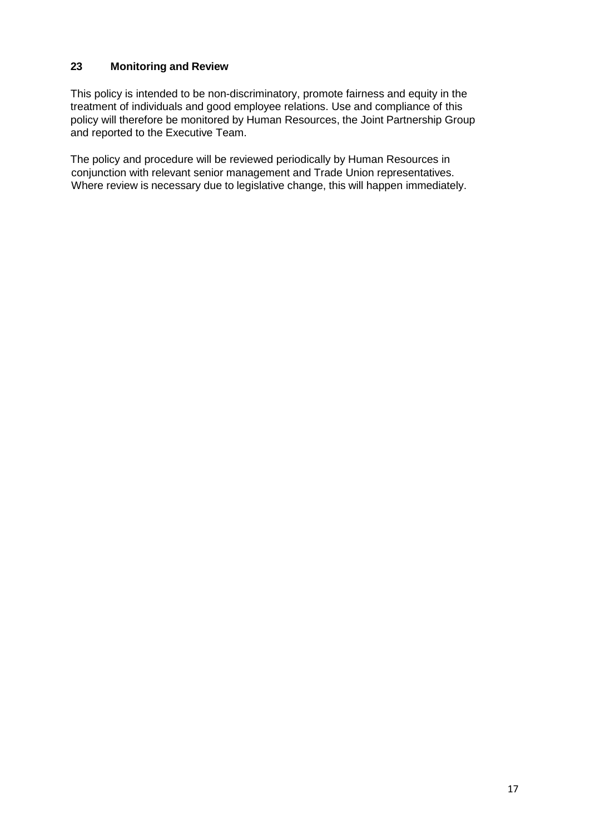# <span id="page-16-0"></span>**23 Monitoring and Review**

This policy is intended to be non-discriminatory, promote fairness and equity in the treatment of individuals and good employee relations. Use and compliance of this policy will therefore be monitored by Human Resources, the Joint Partnership Group and reported to the Executive Team.

The policy and procedure will be reviewed periodically by Human Resources in conjunction with relevant senior management and Trade Union representatives. Where review is necessary due to legislative change, this will happen immediately.